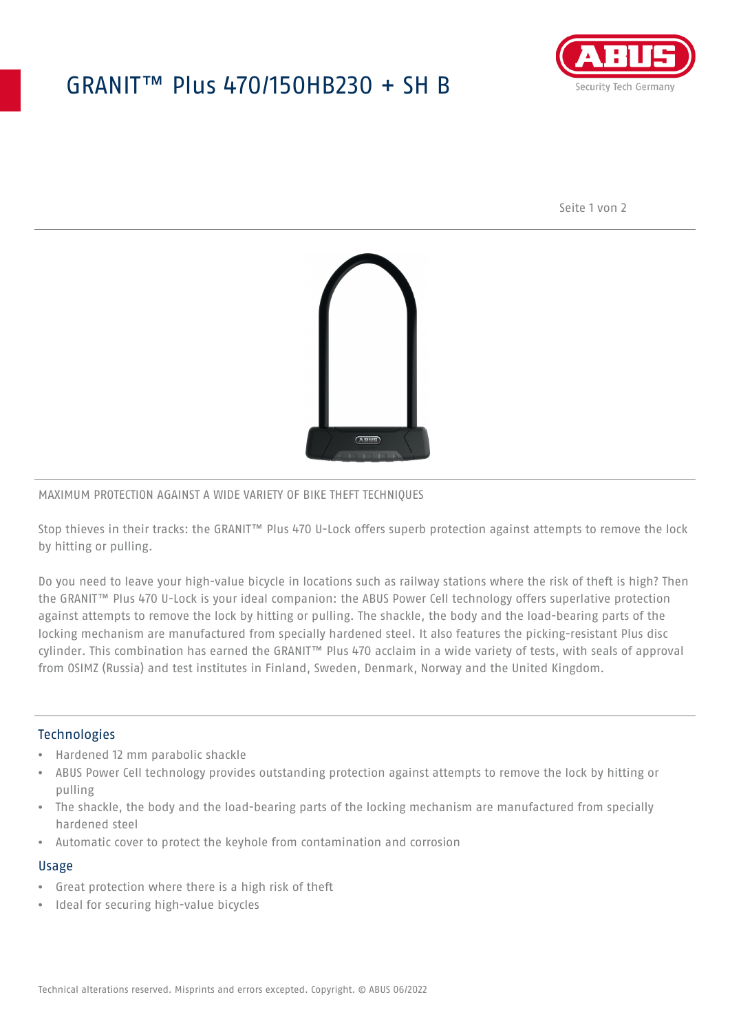## GRANIT™ Plus 470/150HB230 + SH B



Seite 1 von 2



## MAXIMUM PROTECTION AGAINST A WIDE VARIETY OF BIKE THEFT TECHNIQUES

Stop thieves in their tracks: the GRANIT™ Plus 470 U-Lock offers superb protection against attempts to remove the lock by hitting or pulling.

Do you need to leave your high-value bicycle in locations such as railway stations where the risk of theft is high? Then the GRANIT™ Plus 470 U-Lock is your ideal companion: the ABUS Power Cell technology offers superlative protection against attempts to remove the lock by hitting or pulling. The shackle, the body and the load-bearing parts of the locking mechanism are manufactured from specially hardened steel. It also features the picking-resistant Plus disc cylinder. This combination has earned the GRANIT™ Plus 470 acclaim in a wide variety of tests, with seals of approval from OSIMZ (Russia) and test institutes in Finland, Sweden, Denmark, Norway and the United Kingdom.

#### **Technologies**

- Hardened 12 mm parabolic shackle
- ABUS Power Cell technology provides outstanding protection against attempts to remove the lock by hitting or pulling
- The shackle, the body and the load-bearing parts of the locking mechanism are manufactured from specially hardened steel
- Automatic cover to protect the keyhole from contamination and corrosion

#### Usage

- Great protection where there is a high risk of theft
- Ideal for securing high-value bicycles